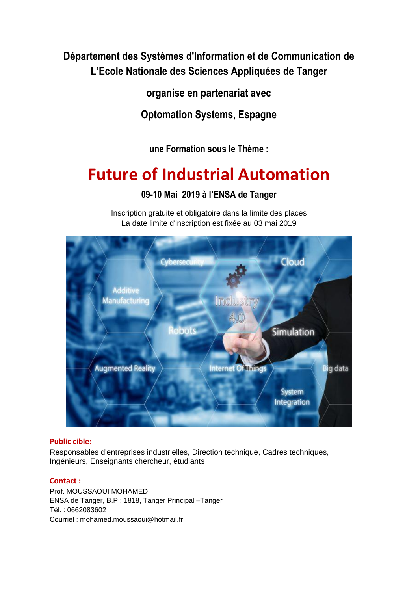**Département des Systèmes d'Information et de Communication de L'Ecole Nationale des Sciences Appliquées de Tanger**

**organise en partenariat avec**

**Optomation Systems, Espagne**

**une Formation sous le Thème :**

# **Future of Industrial Automation**

**09-10 Mai 2019 à l'ENSA de Tanger**

Inscription gratuite et obligatoire dans la limite des places

La date limite d'inscription est fixée au 03 mai 2019 Cloud



# **Public cible:**

Responsables d'entreprises industrielles, Direction technique, Cadres techniques, Ingénieurs, Enseignants chercheur, étudiants

## **Contact :**

Prof. MOUSSAOUI MOHAMED ENSA de Tanger, B.P : 1818, Tanger Principal –Tanger Tél. : 0662083602 Courriel : mohamed.moussaoui@hotmail.fr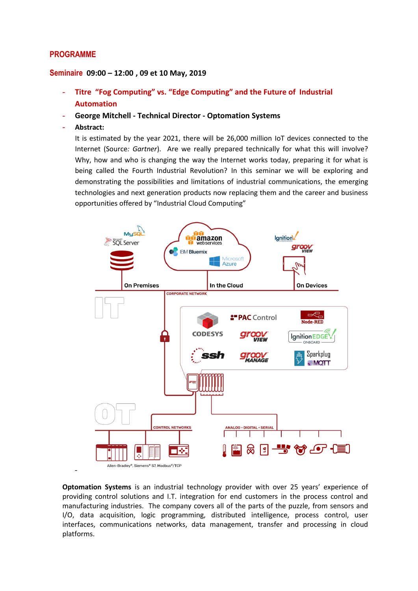## **PROGRAMME**

### **Seminaire 09:00 – 12:00 , 09 et 10 May, 2019**

- **Titre "Fog Computing" vs. "Edge Computing" and the Future of Industrial Automation**
- **George Mitchell - Technical Director - Optomation Systems**
- **Abstract:**

It is estimated by the year 2021, there will be 26,000 million IoT devices connected to the Internet (Source*: Gartner*). Are we really prepared technically for what this will involve? Why, how and who is changing the way the Internet works today, preparing it for what is being called the Fourth Industrial Revolution? In this seminar we will be exploring and demonstrating the possibilities and limitations of industrial communications, the emerging technologies and next generation products now replacing them and the career and business opportunities offered by "Industrial Cloud Computing"



**Optomation Systems** is an industrial technology provider with over 25 years' experience of providing control solutions and I.T. integration for end customers in the process control and manufacturing industries. The company covers all of the parts of the puzzle, from sensors and I/O, data acquisition, logic programming, distributed intelligence, process control, user interfaces, communications networks, data management, transfer and processing in cloud platforms.